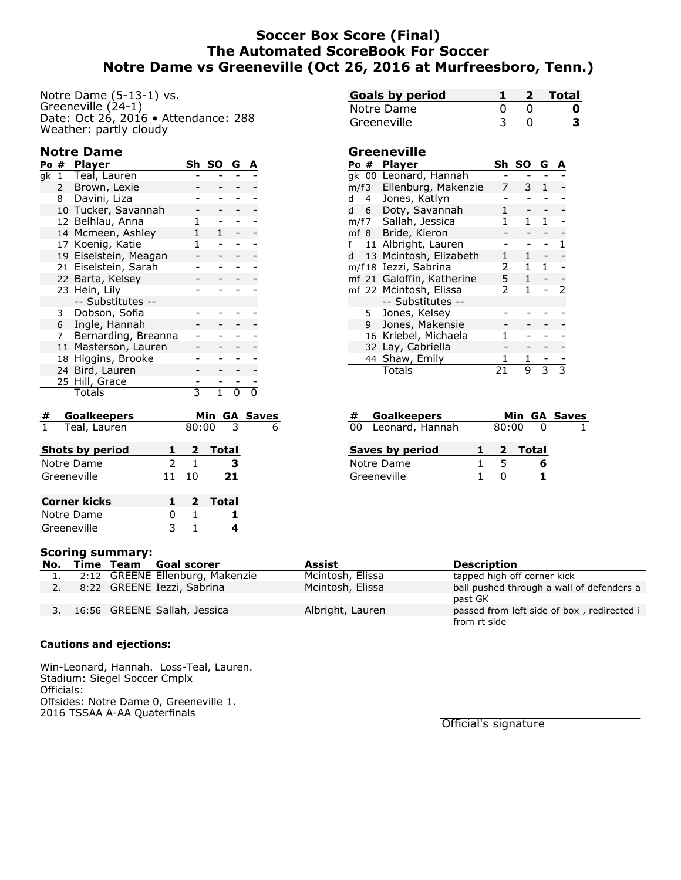# **Soccer Box Score (Final) The Automated ScoreBook For Soccer Notre Dame vs Greeneville (Oct 26, 2016 at Murfreesboro, Tenn.)**

Notre Dame (5-13-1) vs. Greeneville (24-1) Date: Oct 26, 2016 • Attendance: 288 Weather: partly cloudy

## **Notre Dame**

| Po # |                | <b>Player</b>         | Sh | <b>SO</b> | G |  |
|------|----------------|-----------------------|----|-----------|---|--|
| qk   | $\mathbf{1}$   | Teal, Lauren          |    |           |   |  |
|      | $\mathsf{2}$   | Brown, Lexie          |    |           |   |  |
|      | 8              | Davini, Liza          |    |           |   |  |
|      |                | 10 Tucker, Savannah   |    |           |   |  |
|      |                | 12 Belhlau, Anna      |    |           |   |  |
|      |                | 14 Mcmeen, Ashley     |    | 1         |   |  |
|      |                | 17 Koenig, Katie      | 1  |           |   |  |
|      |                | 19 Eiselstein, Meagan |    |           |   |  |
|      |                | 21 Eiselstein, Sarah  |    |           |   |  |
|      |                | 22 Barta, Kelsey      |    |           |   |  |
|      |                | 23 Hein, Lily         |    |           |   |  |
|      |                | -- Substitutes --     |    |           |   |  |
|      | 3              | Dobson, Sofia         |    |           |   |  |
|      | 6              | Ingle, Hannah         |    |           |   |  |
|      | 7 <sup>7</sup> | Bernarding, Breanna   |    |           |   |  |
|      |                | 11 Masterson, Lauren  |    |           |   |  |
|      | 18             | Higgins, Brooke       |    |           |   |  |
|      | 24             | Bird, Lauren          |    |           |   |  |
|      |                | 25 Hill, Grace        |    |           |   |  |
|      |                | Totals                | 3  |           |   |  |
|      |                |                       |    |           |   |  |

| #                  | <b>Goalkeepers</b>     |               |                |                 | Min GA Saves |
|--------------------|------------------------|---------------|----------------|-----------------|--------------|
| $\mathbf{\hat{1}}$ | Teal, Lauren           |               |                | $80:00 \quad 3$ | 6            |
|                    | <b>Shots by period</b> |               | $\mathbf{2}$   | <b>Total</b>    |              |
|                    | Notre Dame             | $\mathcal{P}$ | 1              | з               |              |
|                    | Greeneville            | 11            | 10             | 21              |              |
|                    | <b>Corner kicks</b>    |               | $\overline{2}$ | Total           |              |
|                    | Notre Dame             | O             | 1              |                 |              |
|                    | Greeneville            |               |                |                 |              |

| <b>Goals by period</b> |  | 2 Total |
|------------------------|--|---------|
| Notre Dame             |  | o       |
| Greeneville            |  |         |

### **Greeneville**

| Po # |           | <b>Player</b>                    | Sh | SΟ           | G            | А |
|------|-----------|----------------------------------|----|--------------|--------------|---|
|      |           | gk 00 Leonard, Hannah            |    |              |              |   |
| m/f3 |           | Ellenburg, Makenzie              | 7  | 3.           | $\mathbf{1}$ |   |
| d    | $4 \quad$ | Jones, Katlyn                    |    |              |              |   |
| d 6  |           | Doty, Savannah                   | 1  |              |              |   |
|      |           | m/f7 Sallah, Jessica             |    | 1            | 1            |   |
|      |           | mf 8 Bride, Kieron               |    |              |              |   |
| f    |           | 11 Albright, Lauren              |    |              |              |   |
| d l  |           | 13 Mcintosh, Elizabeth           | 1  | 1            |              |   |
|      |           | m/f18 Iezzi, Sabrina             | 2  |              |              |   |
|      |           | mf 21 Galoffin, Katherine        | 5  | $\mathbf{1}$ |              |   |
|      |           | mf 22 Mcintosh, Elissa<br>2<br>1 |    |              |              |   |
|      |           | -- Substitutes --                |    |              |              |   |
|      | 5         | Jones, Kelsey                    |    |              |              |   |
|      | 9         | Jones, Makensie                  |    |              |              |   |
|      |           | 16 Kriebel, Michaela             |    |              |              |   |
|      |           | 32 Lay, Cabriella                |    |              |              |   |
|      |           | 44 Shaw, Emily                   |    |              |              |   |
|      |           | <b>Totals</b>                    |    | 9            | 3            |   |

| #           | <b>Goalkeepers</b> |  |       |         | Min GA Saves |
|-------------|--------------------|--|-------|---------|--------------|
|             | 00 Leonard, Hannah |  | 80:00 |         |              |
|             | Saves by period    |  |       | 2 Total |              |
|             | Notre Dame         |  | 5     | 6       |              |
| Greeneville |                    |  |       |         |              |

|  | <b>Scoring summary:</b> |                                 |                  |                                            |
|--|-------------------------|---------------------------------|------------------|--------------------------------------------|
|  |                         | No. Time Team Goal scorer       | Assist           | <b>Description</b>                         |
|  |                         | 2:12 GREENE Ellenburg, Makenzie | Mcintosh, Elissa | tapped high off corner kick                |
|  |                         | 8:22 GREENE Iezzi, Sabrina      | Mcintosh, Elissa | ball pushed through a wall of defenders a  |
|  |                         |                                 |                  | past GK                                    |
|  |                         | 16:56 GREENE Sallah, Jessica    | Albright, Lauren | passed from left side of box, redirected i |
|  |                         |                                 |                  | from rt side                               |

#### **Cautions and ejections:**

Win-Leonard, Hannah. Loss-Teal, Lauren. Stadium: Siegel Soccer Cmplx Officials: Offsides: Notre Dame 0, Greeneville 1. 2016 TSSAA A-AA Quaterfinals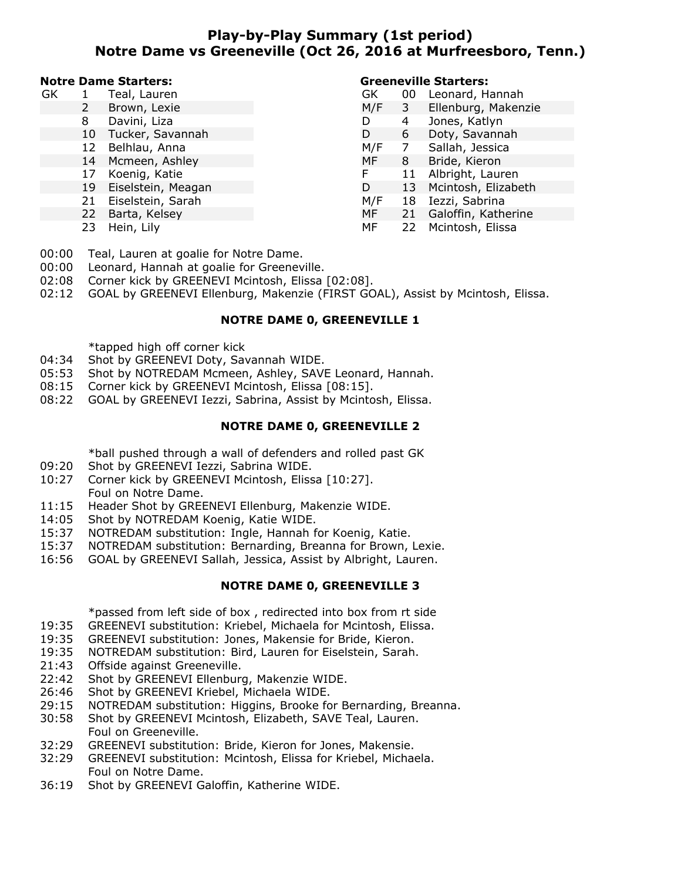# **Play-by-Play Summary (1st period) Notre Dame vs Greeneville (Oct 26, 2016 at Murfreesboro, Tenn.)**

#### **Notre Dame Starters:**

| GK |    | Teal, Lauren       | GK  | 00 | Leonard, Hannah        |
|----|----|--------------------|-----|----|------------------------|
|    |    | Brown, Lexie       | M/F | 3  | Ellenburg, Makenzie    |
|    | 8  | Davini, Liza       |     | 4  | Jones, Katlyn          |
|    | 10 | Tucker, Savannah   | D   | 6  | Doty, Savannah         |
|    | 12 | Belhlau, Anna      | M/F |    | Sallah, Jessica        |
|    |    | 14 Mcmeen, Ashley  | MF  | 8  | Bride, Kieron          |
|    | 17 | Koenig, Katie      | F   |    | Albright, Lauren       |
|    | 19 | Eiselstein, Meagan | D   |    | 13 Mcintosh, Elizabeth |
|    | 21 | Eiselstein, Sarah  | M/F | 18 | Iezzi, Sabrina         |
|    | 22 | Barta, Kelsey      | MF  | 21 | Galoffin, Katherine    |
|    |    | 23 Hein, Lily      | MF  |    | 22 Mcintosh, Elissa    |

00:00 Teal, Lauren at goalie for Notre Dame.

- 00:00 Leonard, Hannah at goalie for Greeneville.
- 02:08 Corner kick by GREENEVI Mcintosh, Elissa [02:08].
- 02:12 GOAL by GREENEVI Ellenburg, Makenzie (FIRST GOAL), Assist by Mcintosh, Elissa.

## **NOTRE DAME 0, GREENEVILLE 1**

\*tapped high off corner kick

- 04:34 Shot by GREENEVI Doty, Savannah WIDE.
- 05:53 Shot by NOTREDAM Mcmeen, Ashley, SAVE Leonard, Hannah.
- 08:15 Corner kick by GREENEVI Mcintosh, Elissa [08:15].
- 08:22 GOAL by GREENEVI Iezzi, Sabrina, Assist by Mcintosh, Elissa.

#### **NOTRE DAME 0, GREENEVILLE 2**

\*ball pushed through a wall of defenders and rolled past GK

- 09:20 Shot by GREENEVI Iezzi, Sabrina WIDE.
- 10:27 Corner kick by GREENEVI Mcintosh, Elissa [10:27]. Foul on Notre Dame.
- 11:15 Header Shot by GREENEVI Ellenburg, Makenzie WIDE.
- 14:05 Shot by NOTREDAM Koenig, Katie WIDE.
- 15:37 NOTREDAM substitution: Ingle, Hannah for Koenig, Katie.
- 15:37 NOTREDAM substitution: Bernarding, Breanna for Brown, Lexie.
- 16:56 GOAL by GREENEVI Sallah, Jessica, Assist by Albright, Lauren.

### **NOTRE DAME 0, GREENEVILLE 3**

\*passed from left side of box , redirected into box from rt side

- 19:35 GREENEVI substitution: Kriebel, Michaela for Mcintosh, Elissa.
- 19:35 GREENEVI substitution: Jones, Makensie for Bride, Kieron.
- 19:35 NOTREDAM substitution: Bird, Lauren for Eiselstein, Sarah.
- 21:43 Offside against Greeneville.
- 22:42 Shot by GREENEVI Ellenburg, Makenzie WIDE.
- 26:46 Shot by GREENEVI Kriebel, Michaela WIDE.
- 29:15 NOTREDAM substitution: Higgins, Brooke for Bernarding, Breanna.
- 30:58 Shot by GREENEVI Mcintosh, Elizabeth, SAVE Teal, Lauren. Foul on Greeneville.
- 32:29 GREENEVI substitution: Bride, Kieron for Jones, Makensie.
- 32:29 GREENEVI substitution: Mcintosh, Elissa for Kriebel, Michaela. Foul on Notre Dame.
- 36:19 Shot by GREENEVI Galoffin, Katherine WIDE.

## **Greeneville Starters:**

| GK  | 00 | Leonard, Hannah     |
|-----|----|---------------------|
| M/F | 3  | Ellenburg, Makenzie |
| D   | 4  | Jones, Katlyn       |
| D   | 6  | Doty, Savannah      |
| M/F | 7  | Sallah, Jessica     |
| MF  | 8  | Bride, Kieron       |
| F   | 11 | Albright, Lauren    |
| D   | 13 | Mcintosh, Elizabeth |
| M/F | 18 | Iezzi, Sabrina      |
| MF  | 21 | Galoffin, Katherine |
| МF  | 22 | Mcintosh, Elissa    |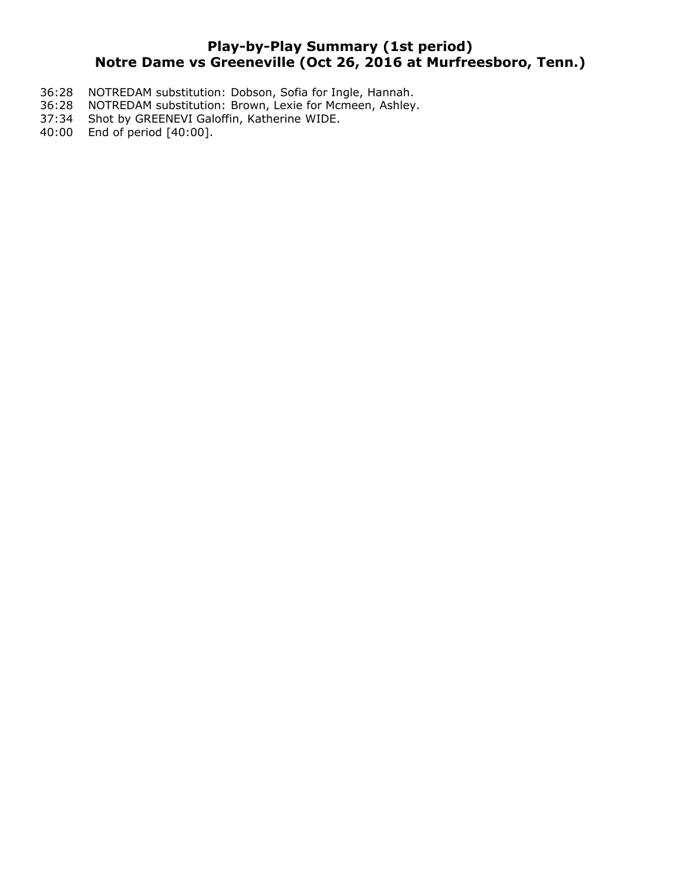# **Play-by-Play Summary (1st period) Notre Dame vs Greeneville (Oct 26, 2016 at Murfreesboro, Tenn.)**

- 36:28 NOTREDAM substitution: Dobson, Sofia for Ingle, Hannah.<br>36:28 NOTREDAM substitution: Brown, Lexie for Mcmeen, Ashley.
- NOTREDAM substitution: Brown, Lexie for Mcmeen, Ashley.
- 37:34 Shot by GREENEVI Galoffin, Katherine WIDE.
- 40:00 End of period [40:00].